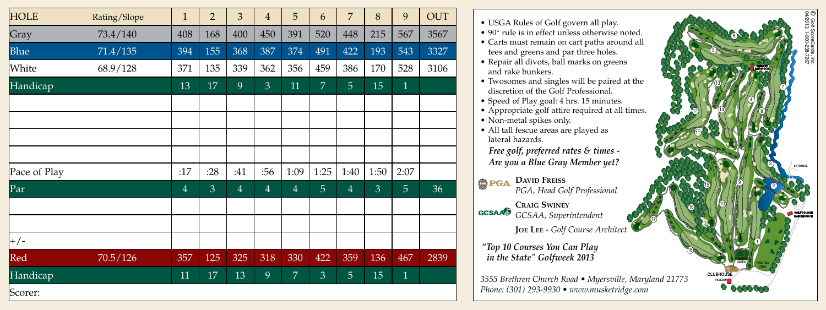| <b>HOLE</b>  | Rating/Slope | $\mathbf{1}$   | $\overline{2}$ | 3              | $\overline{4}$ | 5              | 6              | $\overline{7}$ | 8              | 9              | <b>OUT</b> |
|--------------|--------------|----------------|----------------|----------------|----------------|----------------|----------------|----------------|----------------|----------------|------------|
| Gray         | 73.4/140     | 408            | 168            | 400            | 450            | 391            | 520            | 448            | 215            | 567            | 3567       |
| <b>Blue</b>  | 71.4/135     | 394            | 155            | 368            | 387            | 374            | 491            | 422            | 193            | 543            | 3327       |
| White        | 68.9/128     | 371            | 135            | 339            | 362            | 356            | 459            | 386            | 170            | 528            | 3106       |
| Handicap     |              | 13             | 17             | 9              | $\mathfrak{Z}$ | 11             | $\overline{7}$ | $\overline{5}$ | 15             | $\mathbf{1}$   |            |
|              |              |                |                |                |                |                |                |                |                |                |            |
|              |              |                |                |                |                |                |                |                |                |                |            |
|              |              |                |                |                |                |                |                |                |                |                |            |
|              |              |                |                |                |                |                |                |                |                |                |            |
| Pace of Play |              | :17            | :28            | :41            | :56            | 1:09           | 1:25           | 1:40           | 1:50           | 2:07           |            |
| $\vert$ Par  |              | $\overline{4}$ | $\overline{3}$ | $\overline{4}$ | $\overline{4}$ | $\overline{4}$ | $\overline{5}$ | $\overline{4}$ | $\overline{3}$ | $\overline{5}$ | 36         |
|              |              |                |                |                |                |                |                |                |                |                |            |
|              |              |                |                |                |                |                |                |                |                |                |            |
| $+/-$        |              |                |                |                |                |                |                |                |                |                |            |
| Red          | 70.5/126     | 357            | 125            | 325            | 318            | 330            | 422            | 359            | 136            | 467            | 2839       |
| Handicap     |              | 11             | 17             | 13             | 9              | $\overline{7}$ | 3              | 5              | 15             | $\mathbf{1}$   |            |
| Scorer:      |              |                |                |                |                |                |                |                |                |                |            |

| • USGA Rules of Golf govern all play.                     |                  |
|-----------------------------------------------------------|------------------|
| • 90° rule is in effect unless otherwise noted.           |                  |
| · Carts must remain on cart paths around all              |                  |
| tees and greens and par three holes.                      |                  |
| • Repair all divots, ball marks on greens                 |                  |
| and rake bunkers.                                         |                  |
| • Twosomes and singles will be paired at the              |                  |
| discretion of the Golf Professional.                      |                  |
| • Speed of Play goal: 4 hrs. 15 minutes.                  |                  |
| • Appropriate golf attire required at all times.          |                  |
| • Non-metal spikes only.                                  |                  |
| · All tall fescue areas are played as<br>lateral hazards. |                  |
|                                                           |                  |
| Free golf, preferred rates & times -                      |                  |
| Are you a Blue Gray Member yet?                           |                  |
| <b>DAVID FREISS</b>                                       |                  |
| PGA, Head Golf Professional                               |                  |
|                                                           |                  |
| <b>CRAIG SWINEY</b>                                       |                  |
| <b>GCSAA</b> GCSAA, Superintendent                        |                  |
| JOE LEE - Golf Course Architect                           |                  |
|                                                           |                  |
| "Top 10 Courses You Can Play                              |                  |
| in the State" Golfweek 2013                               | GREEN            |
|                                                           | <b>CLUBHOUSE</b> |
| 3555 Brethren Church Road • Myersville, Maryland 21773    |                  |
| Phone: (301) 293-9930 • www.musketridge.com               |                  |

7

2

**ENTRANCE**